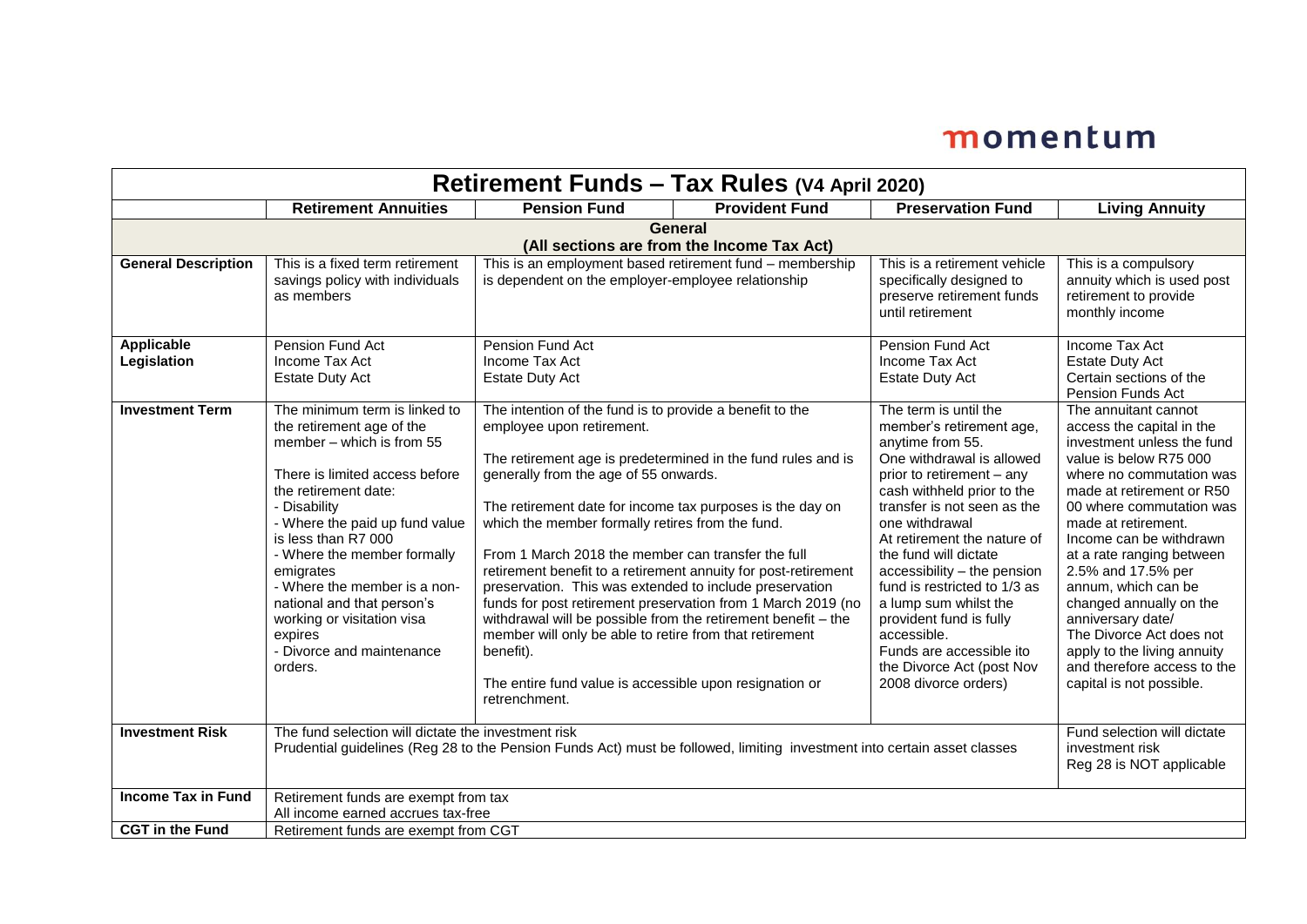| Retirement Funds - Tax Rules (V4 April 2020)                 |                                                                                                                                                                                                                                                                                                                                                                                                                       |                                                                                                                                                                                                                                                                                                                                                                                                                                                                                                                                                                                                                                                                                                                         |                                                              |                                                                                                                                                                                                                                                                                                                                                                                                                                                                                           |                                                                                                                                                                                                                                                                                                                                                                                                                                                                                                  |  |  |
|--------------------------------------------------------------|-----------------------------------------------------------------------------------------------------------------------------------------------------------------------------------------------------------------------------------------------------------------------------------------------------------------------------------------------------------------------------------------------------------------------|-------------------------------------------------------------------------------------------------------------------------------------------------------------------------------------------------------------------------------------------------------------------------------------------------------------------------------------------------------------------------------------------------------------------------------------------------------------------------------------------------------------------------------------------------------------------------------------------------------------------------------------------------------------------------------------------------------------------------|--------------------------------------------------------------|-------------------------------------------------------------------------------------------------------------------------------------------------------------------------------------------------------------------------------------------------------------------------------------------------------------------------------------------------------------------------------------------------------------------------------------------------------------------------------------------|--------------------------------------------------------------------------------------------------------------------------------------------------------------------------------------------------------------------------------------------------------------------------------------------------------------------------------------------------------------------------------------------------------------------------------------------------------------------------------------------------|--|--|
|                                                              | <b>Retirement Annuities</b>                                                                                                                                                                                                                                                                                                                                                                                           | <b>Pension Fund</b>                                                                                                                                                                                                                                                                                                                                                                                                                                                                                                                                                                                                                                                                                                     | <b>Provident Fund</b>                                        | <b>Preservation Fund</b>                                                                                                                                                                                                                                                                                                                                                                                                                                                                  | <b>Living Annuity</b>                                                                                                                                                                                                                                                                                                                                                                                                                                                                            |  |  |
| <b>General</b><br>(All sections are from the Income Tax Act) |                                                                                                                                                                                                                                                                                                                                                                                                                       |                                                                                                                                                                                                                                                                                                                                                                                                                                                                                                                                                                                                                                                                                                                         |                                                              |                                                                                                                                                                                                                                                                                                                                                                                                                                                                                           |                                                                                                                                                                                                                                                                                                                                                                                                                                                                                                  |  |  |
| <b>General Description</b>                                   | This is a fixed term retirement<br>savings policy with individuals<br>as members                                                                                                                                                                                                                                                                                                                                      | This is an employment based retirement fund - membership<br>is dependent on the employer-employee relationship                                                                                                                                                                                                                                                                                                                                                                                                                                                                                                                                                                                                          |                                                              | This is a retirement vehicle<br>specifically designed to<br>preserve retirement funds<br>until retirement                                                                                                                                                                                                                                                                                                                                                                                 | This is a compulsory<br>annuity which is used post<br>retirement to provide<br>monthly income                                                                                                                                                                                                                                                                                                                                                                                                    |  |  |
| <b>Applicable</b><br>Legislation                             | Pension Fund Act<br>Income Tax Act<br><b>Estate Duty Act</b>                                                                                                                                                                                                                                                                                                                                                          | Pension Fund Act<br>Income Tax Act<br><b>Estate Duty Act</b>                                                                                                                                                                                                                                                                                                                                                                                                                                                                                                                                                                                                                                                            |                                                              | Pension Fund Act<br>Income Tax Act<br><b>Estate Duty Act</b>                                                                                                                                                                                                                                                                                                                                                                                                                              | Income Tax Act<br><b>Estate Duty Act</b><br>Certain sections of the<br>Pension Funds Act                                                                                                                                                                                                                                                                                                                                                                                                         |  |  |
| <b>Investment Term</b>                                       | The minimum term is linked to<br>the retirement age of the<br>member - which is from 55<br>There is limited access before<br>the retirement date:<br>- Disability<br>- Where the paid up fund value<br>is less than R7 000<br>- Where the member formally<br>emigrates<br>- Where the member is a non-<br>national and that person's<br>working or visitation visa<br>expires<br>- Divorce and maintenance<br>orders. | The intention of the fund is to provide a benefit to the<br>employee upon retirement.<br>The retirement age is predetermined in the fund rules and is<br>generally from the age of 55 onwards.<br>The retirement date for income tax purposes is the day on<br>which the member formally retires from the fund.<br>From 1 March 2018 the member can transfer the full<br>retirement benefit to a retirement annuity for post-retirement<br>preservation. This was extended to include preservation<br>withdrawal will be possible from the retirement benefit - the<br>member will only be able to retire from that retirement<br>benefit).<br>The entire fund value is accessible upon resignation or<br>retrenchment. | funds for post retirement preservation from 1 March 2019 (no | The term is until the<br>member's retirement age,<br>anytime from 55.<br>One withdrawal is allowed<br>prior to retirement - any<br>cash withheld prior to the<br>transfer is not seen as the<br>one withdrawal<br>At retirement the nature of<br>the fund will dictate<br>accessibility - the pension<br>fund is restricted to 1/3 as<br>a lump sum whilst the<br>provident fund is fully<br>accessible.<br>Funds are accessible ito<br>the Divorce Act (post Nov<br>2008 divorce orders) | The annuitant cannot<br>access the capital in the<br>investment unless the fund<br>value is below R75 000<br>where no commutation was<br>made at retirement or R50<br>00 where commutation was<br>made at retirement.<br>Income can be withdrawn<br>at a rate ranging between<br>2.5% and 17.5% per<br>annum, which can be<br>changed annually on the<br>anniversary date/<br>The Divorce Act does not<br>apply to the living annuity<br>and therefore access to the<br>capital is not possible. |  |  |
| <b>Investment Risk</b>                                       | The fund selection will dictate the investment risk<br>Prudential guidelines (Reg 28 to the Pension Funds Act) must be followed, limiting investment into certain asset classes                                                                                                                                                                                                                                       | Fund selection will dictate<br>investment risk<br>Reg 28 is NOT applicable                                                                                                                                                                                                                                                                                                                                                                                                                                                                                                                                                                                                                                              |                                                              |                                                                                                                                                                                                                                                                                                                                                                                                                                                                                           |                                                                                                                                                                                                                                                                                                                                                                                                                                                                                                  |  |  |
| <b>Income Tax in Fund</b><br><b>CGT</b> in the Fund          | Retirement funds are exempt from tax<br>All income earned accrues tax-free                                                                                                                                                                                                                                                                                                                                            |                                                                                                                                                                                                                                                                                                                                                                                                                                                                                                                                                                                                                                                                                                                         |                                                              |                                                                                                                                                                                                                                                                                                                                                                                                                                                                                           |                                                                                                                                                                                                                                                                                                                                                                                                                                                                                                  |  |  |
|                                                              | Retirement funds are exempt from CGT                                                                                                                                                                                                                                                                                                                                                                                  |                                                                                                                                                                                                                                                                                                                                                                                                                                                                                                                                                                                                                                                                                                                         |                                                              |                                                                                                                                                                                                                                                                                                                                                                                                                                                                                           |                                                                                                                                                                                                                                                                                                                                                                                                                                                                                                  |  |  |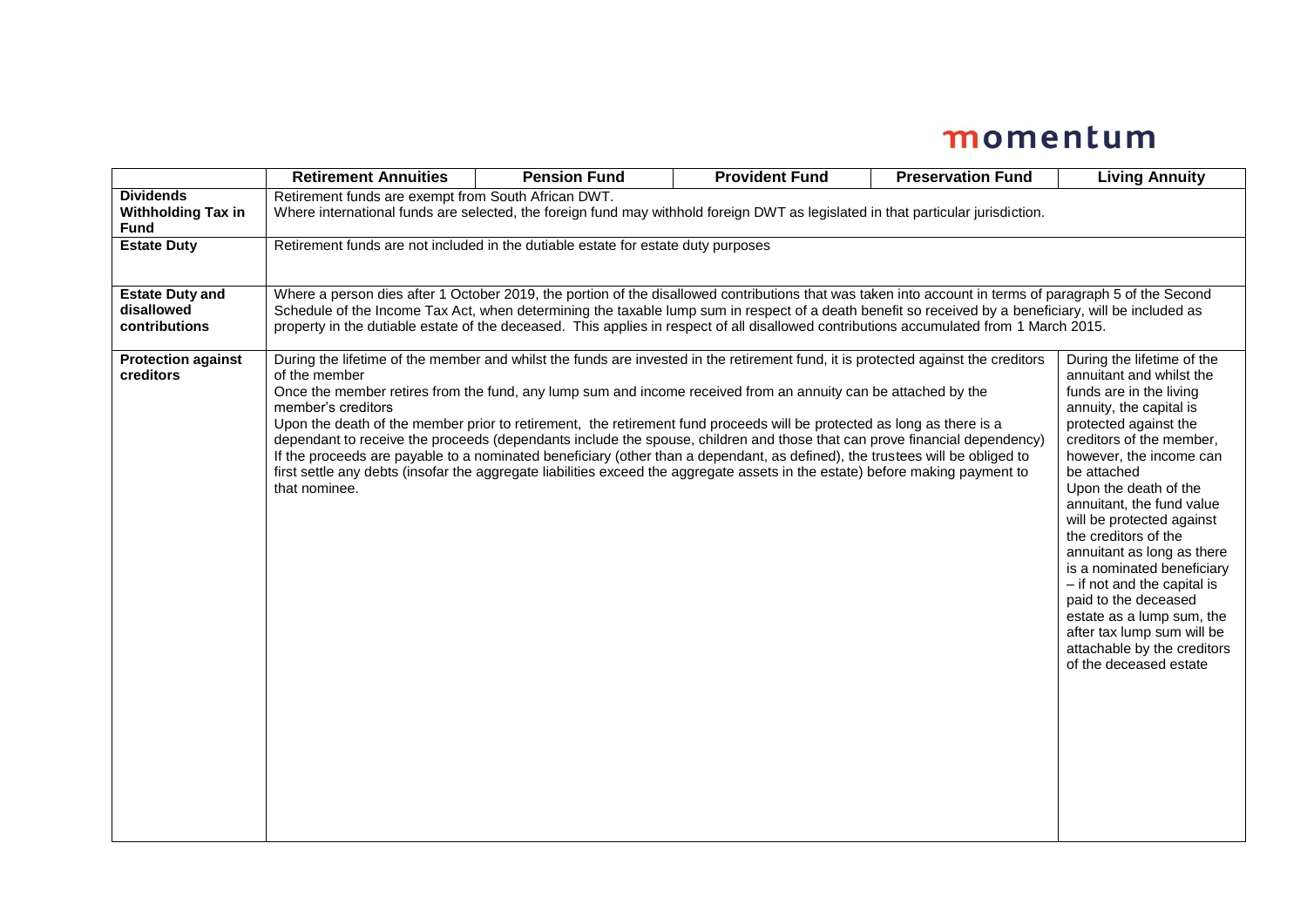|                                                              | <b>Retirement Annuities</b>                                                                                                                                                                                                                                                                                                                                                                                                                                                                                                                                                                                                                                                                                                                                                                                                         | <b>Pension Fund</b> | <b>Provident Fund</b> | <b>Preservation Fund</b> | <b>Living Annuity</b>                                                                                                                                                                                                                                                                                                                                                                                                                                                                                                                                         |  |
|--------------------------------------------------------------|-------------------------------------------------------------------------------------------------------------------------------------------------------------------------------------------------------------------------------------------------------------------------------------------------------------------------------------------------------------------------------------------------------------------------------------------------------------------------------------------------------------------------------------------------------------------------------------------------------------------------------------------------------------------------------------------------------------------------------------------------------------------------------------------------------------------------------------|---------------------|-----------------------|--------------------------|---------------------------------------------------------------------------------------------------------------------------------------------------------------------------------------------------------------------------------------------------------------------------------------------------------------------------------------------------------------------------------------------------------------------------------------------------------------------------------------------------------------------------------------------------------------|--|
| <b>Dividends</b><br><b>Withholding Tax in</b><br><b>Fund</b> | Retirement funds are exempt from South African DWT.<br>Where international funds are selected, the foreign fund may withhold foreign DWT as legislated in that particular jurisdiction.                                                                                                                                                                                                                                                                                                                                                                                                                                                                                                                                                                                                                                             |                     |                       |                          |                                                                                                                                                                                                                                                                                                                                                                                                                                                                                                                                                               |  |
| <b>Estate Duty</b>                                           | Retirement funds are not included in the dutiable estate for estate duty purposes                                                                                                                                                                                                                                                                                                                                                                                                                                                                                                                                                                                                                                                                                                                                                   |                     |                       |                          |                                                                                                                                                                                                                                                                                                                                                                                                                                                                                                                                                               |  |
| <b>Estate Duty and</b><br>disallowed<br>contributions        | Where a person dies after 1 October 2019, the portion of the disallowed contributions that was taken into account in terms of paragraph 5 of the Second<br>Schedule of the Income Tax Act, when determining the taxable lump sum in respect of a death benefit so received by a beneficiary, will be included as<br>property in the dutiable estate of the deceased. This applies in respect of all disallowed contributions accumulated from 1 March 2015.                                                                                                                                                                                                                                                                                                                                                                         |                     |                       |                          |                                                                                                                                                                                                                                                                                                                                                                                                                                                                                                                                                               |  |
| <b>Protection against</b><br>creditors                       | During the lifetime of the member and whilst the funds are invested in the retirement fund, it is protected against the creditors<br>of the member<br>Once the member retires from the fund, any lump sum and income received from an annuity can be attached by the<br>member's creditors<br>Upon the death of the member prior to retirement, the retirement fund proceeds will be protected as long as there is a<br>dependant to receive the proceeds (dependants include the spouse, children and those that can prove financial dependency)<br>If the proceeds are payable to a nominated beneficiary (other than a dependant, as defined), the trustees will be obliged to<br>first settle any debts (insofar the aggregate liabilities exceed the aggregate assets in the estate) before making payment to<br>that nominee. |                     |                       |                          | During the lifetime of the<br>annuitant and whilst the<br>funds are in the living<br>annuity, the capital is<br>protected against the<br>creditors of the member,<br>however, the income can<br>be attached<br>Upon the death of the<br>annuitant, the fund value<br>will be protected against<br>the creditors of the<br>annuitant as long as there<br>is a nominated beneficiary<br>- if not and the capital is<br>paid to the deceased<br>estate as a lump sum, the<br>after tax lump sum will be<br>attachable by the creditors<br>of the deceased estate |  |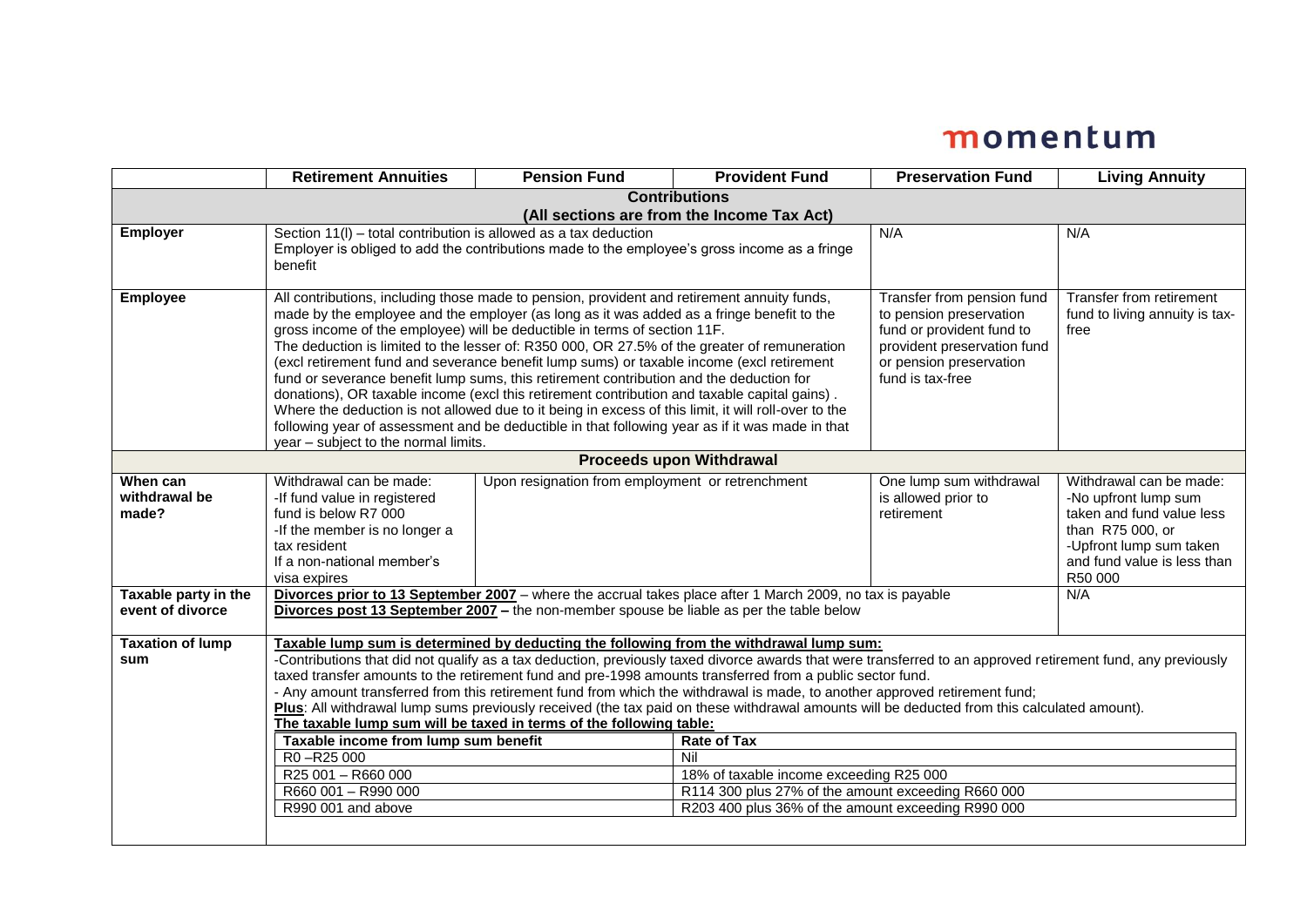|                                 | <b>Retirement Annuities</b>                                                                                                                                                                                                                                               | <b>Pension Fund</b>                                                                                                         | <b>Provident Fund</b> | <b>Preservation Fund</b>                              | <b>Living Annuity</b>                                      |  |  |
|---------------------------------|---------------------------------------------------------------------------------------------------------------------------------------------------------------------------------------------------------------------------------------------------------------------------|-----------------------------------------------------------------------------------------------------------------------------|-----------------------|-------------------------------------------------------|------------------------------------------------------------|--|--|
| <b>Contributions</b>            |                                                                                                                                                                                                                                                                           |                                                                                                                             |                       |                                                       |                                                            |  |  |
|                                 | (All sections are from the Income Tax Act)                                                                                                                                                                                                                                |                                                                                                                             |                       |                                                       |                                                            |  |  |
| <b>Employer</b>                 | Section 11(I) – total contribution is allowed as a tax deduction<br>Employer is obliged to add the contributions made to the employee's gross income as a fringe                                                                                                          |                                                                                                                             |                       | N/A                                                   | N/A                                                        |  |  |
|                                 | benefit                                                                                                                                                                                                                                                                   |                                                                                                                             |                       |                                                       |                                                            |  |  |
|                                 |                                                                                                                                                                                                                                                                           |                                                                                                                             |                       |                                                       |                                                            |  |  |
| <b>Employee</b>                 | All contributions, including those made to pension, provident and retirement annuity funds,<br>made by the employee and the employer (as long as it was added as a fringe benefit to the                                                                                  |                                                                                                                             |                       | Transfer from pension fund<br>to pension preservation | Transfer from retirement<br>fund to living annuity is tax- |  |  |
|                                 | gross income of the employee) will be deductible in terms of section 11F.                                                                                                                                                                                                 |                                                                                                                             |                       | fund or provident fund to                             | free                                                       |  |  |
|                                 |                                                                                                                                                                                                                                                                           | The deduction is limited to the lesser of: R350 000, OR 27.5% of the greater of remuneration<br>provident preservation fund |                       |                                                       |                                                            |  |  |
|                                 | (excl retirement fund and severance benefit lump sums) or taxable income (excl retirement<br>or pension preservation                                                                                                                                                      |                                                                                                                             |                       |                                                       |                                                            |  |  |
|                                 | fund is tax-free<br>fund or severance benefit lump sums, this retirement contribution and the deduction for                                                                                                                                                               |                                                                                                                             |                       |                                                       |                                                            |  |  |
|                                 | donations), OR taxable income (excl this retirement contribution and taxable capital gains).<br>Where the deduction is not allowed due to it being in excess of this limit, it will roll-over to the                                                                      |                                                                                                                             |                       |                                                       |                                                            |  |  |
|                                 |                                                                                                                                                                                                                                                                           | following year of assessment and be deductible in that following year as if it was made in that                             |                       |                                                       |                                                            |  |  |
|                                 | year - subject to the normal limits.                                                                                                                                                                                                                                      |                                                                                                                             |                       |                                                       |                                                            |  |  |
| <b>Proceeds upon Withdrawal</b> |                                                                                                                                                                                                                                                                           |                                                                                                                             |                       |                                                       |                                                            |  |  |
| When can                        | Withdrawal can be made:                                                                                                                                                                                                                                                   | Upon resignation from employment or retrenchment                                                                            |                       | One lump sum withdrawal                               | Withdrawal can be made:                                    |  |  |
| withdrawal be<br>made?          | -If fund value in registered                                                                                                                                                                                                                                              |                                                                                                                             |                       | is allowed prior to                                   | -No upfront lump sum                                       |  |  |
|                                 | fund is below R7 000<br>-If the member is no longer a                                                                                                                                                                                                                     |                                                                                                                             |                       | retirement                                            | taken and fund value less<br>than R75 000, or              |  |  |
|                                 | tax resident                                                                                                                                                                                                                                                              |                                                                                                                             |                       |                                                       | -Upfront lump sum taken                                    |  |  |
|                                 | If a non-national member's                                                                                                                                                                                                                                                |                                                                                                                             |                       |                                                       | and fund value is less than                                |  |  |
|                                 | visa expires                                                                                                                                                                                                                                                              |                                                                                                                             |                       |                                                       | R50 000                                                    |  |  |
| Taxable party in the            | Divorces prior to 13 September 2007 - where the accrual takes place after 1 March 2009, no tax is payable<br>N/A                                                                                                                                                          |                                                                                                                             |                       |                                                       |                                                            |  |  |
| event of divorce                | Divorces post 13 September 2007 - the non-member spouse be liable as per the table below                                                                                                                                                                                  |                                                                                                                             |                       |                                                       |                                                            |  |  |
| <b>Taxation of lump</b>         | Taxable lump sum is determined by deducting the following from the withdrawal lump sum:                                                                                                                                                                                   |                                                                                                                             |                       |                                                       |                                                            |  |  |
| sum                             | -Contributions that did not qualify as a tax deduction, previously taxed divorce awards that were transferred to an approved retirement fund, any previously                                                                                                              |                                                                                                                             |                       |                                                       |                                                            |  |  |
|                                 | taxed transfer amounts to the retirement fund and pre-1998 amounts transferred from a public sector fund.                                                                                                                                                                 |                                                                                                                             |                       |                                                       |                                                            |  |  |
|                                 | - Any amount transferred from this retirement fund from which the withdrawal is made, to another approved retirement fund;<br>Plus: All withdrawal lump sums previously received (the tax paid on these withdrawal amounts will be deducted from this calculated amount). |                                                                                                                             |                       |                                                       |                                                            |  |  |
|                                 | The taxable lump sum will be taxed in terms of the following table:                                                                                                                                                                                                       |                                                                                                                             |                       |                                                       |                                                            |  |  |
|                                 | <b>Rate of Tax</b><br>Taxable income from lump sum benefit                                                                                                                                                                                                                |                                                                                                                             |                       |                                                       |                                                            |  |  |
|                                 | R0-R25 000                                                                                                                                                                                                                                                                |                                                                                                                             | Nil                   |                                                       |                                                            |  |  |
|                                 | R25 001 - R660 000<br>18% of taxable income exceeding R25 000                                                                                                                                                                                                             |                                                                                                                             |                       |                                                       |                                                            |  |  |
|                                 | R660 001 - R990 000<br>R114 300 plus 27% of the amount exceeding R660 000                                                                                                                                                                                                 |                                                                                                                             |                       |                                                       |                                                            |  |  |
|                                 | R990 001 and above<br>R203 400 plus 36% of the amount exceeding R990 000                                                                                                                                                                                                  |                                                                                                                             |                       |                                                       |                                                            |  |  |
|                                 |                                                                                                                                                                                                                                                                           |                                                                                                                             |                       |                                                       |                                                            |  |  |